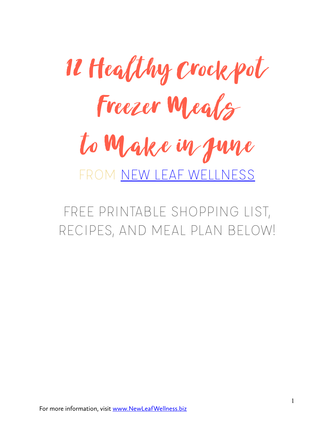

FREE PRINTABLE SHOPPING LIST, RECIPES, AND MEAL PLAN BELOW!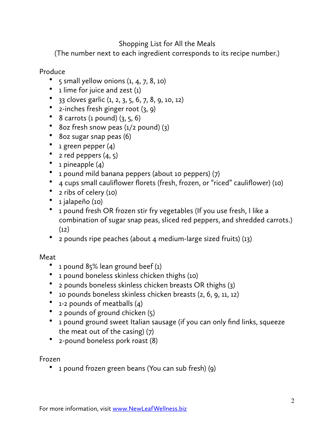# Shopping List for All the Meals

(The number next to each ingredient corresponds to its recipe number.)

## Produce

- 5 small yellow onions  $(1, 4, 7, 8, 10)$
- $\bullet$  1 lime for juice and zest (1)
- 33 cloves garlic  $(1, 2, 3, 5, 6, 7, 8, 9, 10, 12)$
- 2-inches fresh ginger root (3, 9)
- 8 carrots (1 pound)  $(3, 5, 6)$
- 8oz fresh snow peas (1/2 pound) (3)
- 8oz sugar snap peas (6)
- 1 green pepper (4)
- 2 red peppers  $(4, 5)$
- 1 pineapple  $(4)$
- 1 pound mild banana peppers (about 10 peppers) (7)
- 4 cups small cauliflower florets (fresh, frozen, or "riced" cauliflower) (10)
- 2 ribs of celery (10)
- 1 jalapeño (10)
- 1 pound fresh OR frozen stir fry vegetables (If you use fresh, I like a combination of sugar snap peas, sliced red peppers, and shredded carrots.)  $(12)$
- 2 pounds ripe peaches (about 4 medium-large sized fruits) (13)

### Meat

- 1 pound 85% lean ground beef (1)
- 1 pound boneless skinless chicken thighs (10)
- 2 pounds boneless skinless chicken breasts OR thighs (3)
- 10 pounds boneless skinless chicken breasts (2, 6, 9, 11, 12)
- 1-2 pounds of meatballs (4)
- 2 pounds of ground chicken (5)
- 1 pound ground sweet Italian sausage (if you can only find links, squeeze the meat out of the casing) (7)
- 2-pound boneless pork roast (8)

Frozen

• 1 pound frozen green beans (You can sub fresh) (9)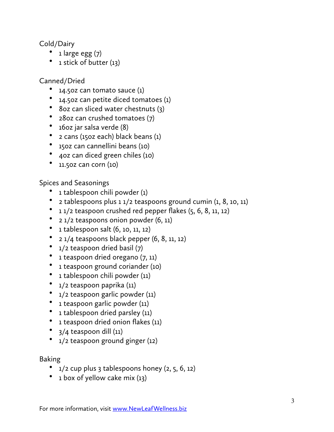Cold/Dairy

- $\bullet$  1 large egg  $(7)$
- 1 stick of butter (13)

Canned/Dried

- 14.502 can tomato sauce  $(1)$
- 14.5oz can petite diced tomatoes (1)
- 8oz can sliced water chestnuts (3)
- 28oz can crushed tomatoes (7)
- 16oz jar salsa verde (8)
- 2 cans (15oz each) black beans (1)
- 15oz can cannellini beans (10)
- 4oz can diced green chiles (10)
- 11.5oz can corn (10)

Spices and Seasonings

- 1 tablespoon chili powder (1)
- 2 tablespoons plus 1 1/2 teaspoons ground cumin (1, 8, 10, 11)
- $11/2$  teaspoon crushed red pepper flakes  $(5, 6, 8, 11, 12)$
- 2 1/2 teaspoons onion powder (6, 11)
- 1 tablespoon salt (6, 10, 11, 12)
- $2 \frac{1}{4}$  teaspoons black pepper  $(6, 8, 11, 12)$
- 1/2 teaspoon dried basil (7)
- 1 teaspoon dried oregano (7, 11)
- 1 teaspoon ground coriander (10)
- 1 tablespoon chili powder (11)
- 1/2 teaspoon paprika (11)
- 1/2 teaspoon garlic powder (11)
- 1 teaspoon garlic powder (11)
- 1 tablespoon dried parsley (11)
- 1 teaspoon dried onion flakes (11)
- 3/4 teaspoon dill (11)
- 1/2 teaspoon ground ginger (12)

Baking

- $1/2$  cup plus 3 tablespoons honey  $(2, 5, 6, 12)$
- $\bullet$  1 box of yellow cake mix (13)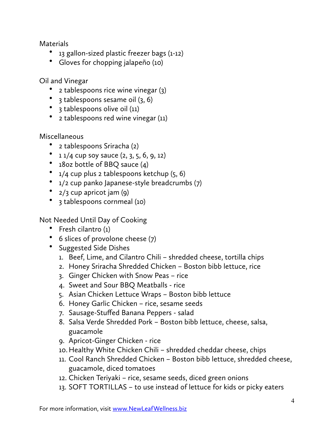**Materials** 

- 13 gallon-sized plastic freezer bags (1-12)
- Gloves for chopping jalapeño (10)

Oil and Vinegar

- 2 tablespoons rice wine vinegar (3)
- $\beta$  tablespoons sesame oil  $(3, 6)$
- 3 tablespoons olive oil (11)
- 2 tablespoons red wine vinegar (11)

Miscellaneous

- 2 tablespoons Sriracha (2)
- $11/4$  cup soy sauce  $(2, 3, 5, 6, 9, 12)$
- 18oz bottle of BBQ sauce (4)
- $1/4$  cup plus 2 tablespoons ketchup  $(5, 6)$
- 1/2 cup panko Japanese-style breadcrumbs (7)
- 2/3 cup apricot jam (9)
- 3 tablespoons cornmeal (10)

Not Needed Until Day of Cooking

- Fresh cilantro (1)
- 6 slices of provolone cheese (7)
- Suggested Side Dishes
	- 1. Beef, Lime, and Cilantro Chili shredded cheese, tortilla chips
	- 2. Honey Sriracha Shredded Chicken Boston bibb lettuce, rice
	- 3. Ginger Chicken with Snow Peas rice
	- 4. Sweet and Sour BBQ Meatballs rice
	- 5. Asian Chicken Lettuce Wraps Boston bibb lettuce
	- 6. Honey Garlic Chicken rice, sesame seeds
	- 7. Sausage-Stuffed Banana Peppers salad
	- 8. Salsa Verde Shredded Pork Boston bibb lettuce, cheese, salsa, guacamole
	- 9. Apricot-Ginger Chicken rice
	- 10.Healthy White Chicken Chili shredded cheddar cheese, chips
	- 11. Cool Ranch Shredded Chicken Boston bibb lettuce, shredded cheese, guacamole, diced tomatoes
	- 12. Chicken Teriyaki rice, sesame seeds, diced green onions
	- 13. SOFT TORTILLAS to use instead of lettuce for kids or picky eaters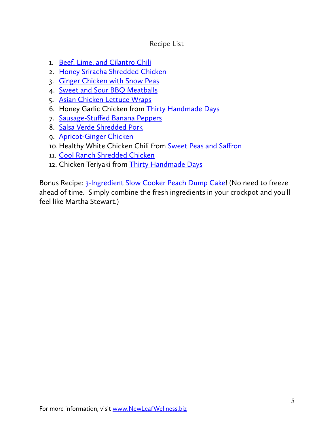## Recipe List

- 1. [Beef, Lime, and Cilantro Chili](http://newleafwellness.biz/2013/03/02/slow-cooker-beef-lime-cilantro-chili/)
- 2. [Honey Sriracha Shredded Chicken](http://newleafwellness.biz/2017/03/13/5-ingredient-crockpot-honey-sriracha-chicken/)
- 3. [Ginger Chicken with Snow Peas](http://newleafwellness.biz/2017/02/08/crockpot-ginger-chicken-with-snow-peas/)
- 4. [Sweet and Sour BBQ Meatballs](http://newleafwellness.biz/2015/08/27/crockpot-sweet-and-sour-bbq-meatballs/)
- 5. [Asian Chicken Lettuce Wraps](http://newleafwellness.biz/2015/06/16/slow-cooker-asian-chicken-lettuce-wraps/)
- 6. Honey Garlic Chicken from [Thirty Handmade Days](http://www.thirtyhandmadedays.com/)
- 7. Sausage-Stuff[ed Banana Peppers](http://newleafwellness.biz/2016/04/13/crockpot-stuffed-banana-peppers-recipe/)
- 8. [Salsa Verde Shredded Pork](http://newleafwellness.biz/2017/02/15/easy-and-healthy-crockpot-salsa-verde-shredded-pork-tacos/)
- 9. [Apricot-Ginger Chicken](http://newleafwellness.biz/2015/01/07/make-ahead-crockpot-apricot-ginger-chicken-with-soy-sauce/)
- 10. Healthy White Chicken Chili from [Sweet Peas and Sa](http://sweetpeasandsaffron.com/2017/02/healthy-slow-cooker-white-chicken-chili-assemble-ahead.html)ffron
- 11. [Cool Ranch Shredded Chicken](http://newleafwellness.biz/2016/03/30/cool-ranch-shredded-chicken-tacos-crockpot-recipe/)
- 12. Chicken Teriyaki from [Thirty Handmade Days](http://www.thirtyhandmadedays.com/easy-and-healthy-slow-cooker-chicken-teriyaki-recipe/)

Bonus Recipe: [3-Ingredient Slow Cooker Peach Dump Cake](http://newleafwellness.biz/2015/09/03/three-ingredient-slow-cooker-peach-dump-cake/)! (No need to freeze ahead of time. Simply combine the fresh ingredients in your crockpot and you'll feel like Martha Stewart.)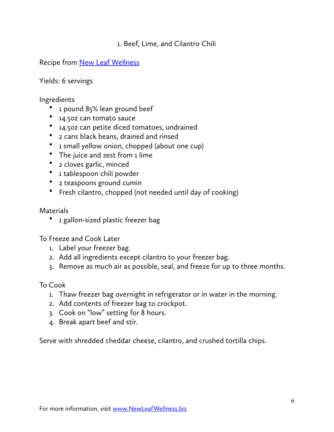# 1. Beef, Lime, and Cilantro Chili

Recipe from [New Leaf Wellness](http://newleafwellness.biz/2013/03/02/slow-cooker-beef-lime-cilantro-chili/)

Yields: 6 servings

Ingredients

- 1 pound 85% lean ground beef
- 14.5oz can tomato sauce
- 14.5oz can petite diced tomatoes, undrained
- 2 cans black beans, drained and rinsed
- 1 small yellow onion, chopped (about one cup)
- The juice and zest from 1 lime
- 2 cloves garlic, minced
- 1 tablespoon chili powder
- 2 teaspoons ground cumin
- Fresh cilantro, chopped (not needed until day of cooking)

**Materials** 

• 1 gallon-sized plastic freezer bag

To Freeze and Cook Later

- 1. Label your freezer bag.
- 2. Add all ingredients except cilantro to your freezer bag.
- 3. Remove as much air as possible, seal, and freeze for up to three months.

To Cook

- 1. Thaw freezer bag overnight in refrigerator or in water in the morning.
- 2. Add contents of freezer bag to crockpot.
- 3. Cook on "low" setting for 8 hours.
- 4. Break apart beef and stir.

Serve with shredded cheddar cheese, cilantro, and crushed tortilla chips.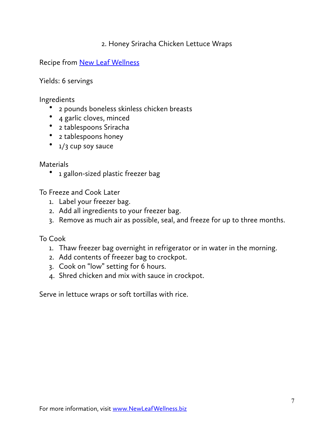## 2. Honey Sriracha Chicken Lettuce Wraps

Recipe from New Leaf Wellness

Yields: 6 servings

Ingredients

- 2 pounds boneless skinless chicken breasts
- 4 garlic cloves, minced
- 2 tablespoons Sriracha
- 2 tablespoons honey
- $1/3$  cup soy sauce

### **Materials**

• 1 gallon-sized plastic freezer bag

To Freeze and Cook Later

- 1. Label your freezer bag.
- 2. Add all ingredients to your freezer bag.
- 3. Remove as much air as possible, seal, and freeze for up to three months.

To Cook

- 1. Thaw freezer bag overnight in refrigerator or in water in the morning.
- 2. Add contents of freezer bag to crockpot.
- 3. Cook on "low" setting for 6 hours.
- 4. Shred chicken and mix with sauce in crockpot.

Serve in lettuce wraps or soft tortillas with rice.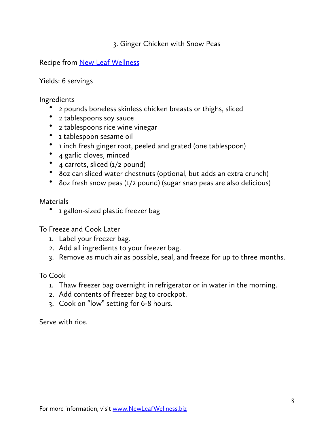## 3. Ginger Chicken with Snow Peas

Recipe from **New Leaf Wellness** 

Yields: 6 servings

Ingredients

- 2 pounds boneless skinless chicken breasts or thighs, sliced
- 2 tablespoons soy sauce
- 2 tablespoons rice wine vinegar
- 1 tablespoon sesame oil
- 1 inch fresh ginger root, peeled and grated (one tablespoon)
- 4 garlic cloves, minced
- 4 carrots, sliced (1/2 pound)
- 8oz can sliced water chestnuts (optional, but adds an extra crunch)
- 8oz fresh snow peas (1/2 pound) (sugar snap peas are also delicious)

**Materials** 

• 1 gallon-sized plastic freezer bag

To Freeze and Cook Later

- 1. Label your freezer bag.
- 2. Add all ingredients to your freezer bag.
- 3. Remove as much air as possible, seal, and freeze for up to three months.

To Cook

- 1. Thaw freezer bag overnight in refrigerator or in water in the morning.
- 2. Add contents of freezer bag to crockpot.
- 3. Cook on "low" setting for 6-8 hours.

Serve with rice.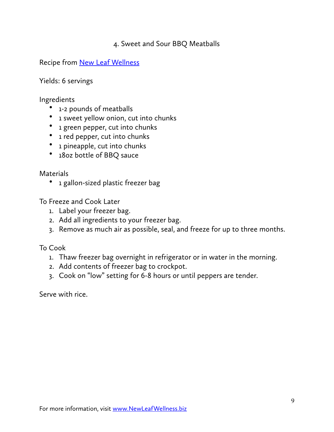# 4. Sweet and Sour BBQ Meatballs

Recipe from [New Leaf Wellness](http://newleafwellness.biz/2015/08/27/crockpot-sweet-and-sour-bbq-meatballs/)

Yields: 6 servings

Ingredients

- 1-2 pounds of meatballs
- 1 sweet yellow onion, cut into chunks
- 1 green pepper, cut into chunks
- 1 red pepper, cut into chunks
- 1 pineapple, cut into chunks
- 18oz bottle of BBQ sauce

Materials

• 1 gallon-sized plastic freezer bag

To Freeze and Cook Later

- 1. Label your freezer bag.
- 2. Add all ingredients to your freezer bag.
- 3. Remove as much air as possible, seal, and freeze for up to three months.

To Cook

- 1. Thaw freezer bag overnight in refrigerator or in water in the morning.
- 2. Add contents of freezer bag to crockpot.
- 3. Cook on "low" setting for 6-8 hours or until peppers are tender.

Serve with rice.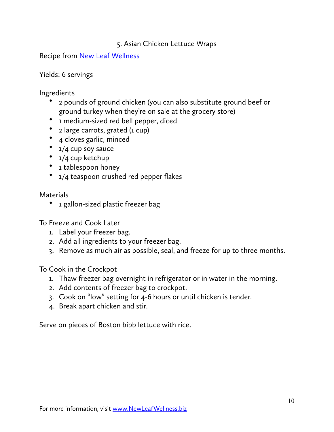# 5. Asian Chicken Lettuce Wraps

Recipe from **New Leaf Wellness** 

Yields: 6 servings

Ingredients

- 2 pounds of ground chicken (you can also substitute ground beef or ground turkey when they're on sale at the grocery store)
- 1 medium-sized red bell pepper, diced
- 2 large carrots, grated (1 cup)
- 4 cloves garlic, minced
- 1/4 cup soy sauce
- 1/4 cup ketchup
- 1 tablespoon honey
- 1/4 teaspoon crushed red pepper flakes

**Materials** 

• 1 gallon-sized plastic freezer bag

To Freeze and Cook Later

- 1. Label your freezer bag.
- 2. Add all ingredients to your freezer bag.
- 3. Remove as much air as possible, seal, and freeze for up to three months.

To Cook in the Crockpot

- 1. Thaw freezer bag overnight in refrigerator or in water in the morning.
- 2. Add contents of freezer bag to crockpot.
- 3. Cook on "low" setting for 4-6 hours or until chicken is tender.
- 4. Break apart chicken and stir.

Serve on pieces of Boston bibb lettuce with rice.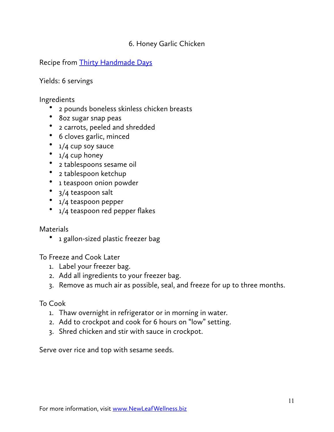# 6. Honey Garlic Chicken

Recipe from [Thirty Handmade Days](http://www.thirtyhandmadedays.com/)

Yields: 6 servings

## Ingredients

- 2 pounds boneless skinless chicken breasts
- 8oz sugar snap peas
- 2 carrots, peeled and shredded
- 6 cloves garlic, minced
- 1/4 cup soy sauce
- 1/4 cup honey
- 2 tablespoons sesame oil
- 2 tablespoon ketchup
- 1 teaspoon onion powder
- 3/4 teaspoon salt
- 1/4 teaspoon pepper
- 1/4 teaspoon red pepper flakes

### **Materials**

• 1 gallon-sized plastic freezer bag

To Freeze and Cook Later

- 1. Label your freezer bag.
- 2. Add all ingredients to your freezer bag.
- 3. Remove as much air as possible, seal, and freeze for up to three months.

### To Cook

- 1. Thaw overnight in refrigerator or in morning in water.
- 2. Add to crockpot and cook for 6 hours on "low" setting.
- 3. Shred chicken and stir with sauce in crockpot.

Serve over rice and top with sesame seeds.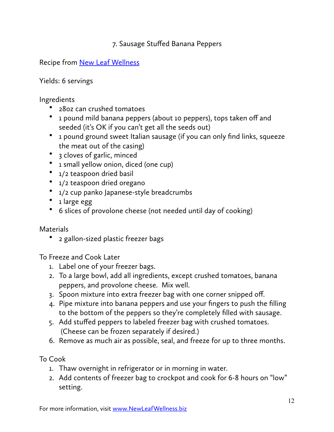# 7. Sausage Stuffed Banana Peppers

Recipe from [New](http://newleafwellness.biz/2016/04/13/crockpot-stuffed-banana-peppers-recipe/) Leaf Wellness

Yields: 6 servings

Ingredients

- 28oz can crushed tomatoes
- 1 pound mild banana peppers (about 10 peppers), tops taken off and seeded (it's OK if you can't get all the seeds out)
- 1 pound ground sweet Italian sausage (if you can only find links, squeeze the meat out of the casing)
- 3 cloves of garlic, minced
- 1 small yellow onion, diced (one cup)
- 1/2 teaspoon dried basil
- 1/2 teaspoon dried oregano
- 1/2 cup panko Japanese-style breadcrumbs
- 1 large egg
- 6 slices of provolone cheese (not needed until day of cooking)

**Materials** 

• 2 gallon-sized plastic freezer bags

To Freeze and Cook Later

- 1. Label one of your freezer bags.
- 2. To a large bowl, add all ingredients, except crushed tomatoes, banana peppers, and provolone cheese. Mix well.
- 3. Spoon mixture into extra freezer bag with one corner snipped off.
- 4. Pipe mixture into banana peppers and use your fingers to push the filling to the bottom of the peppers so they're completely filled with sausage.
- 5. Add stuffed peppers to labeled freezer bag with crushed tomatoes. (Cheese can be frozen separately if desired.)
- 6. Remove as much air as possible, seal, and freeze for up to three months.

To Cook

- 1. Thaw overnight in refrigerator or in morning in water.
- 2. Add contents of freezer bag to crockpot and cook for 6-8 hours on "low" setting.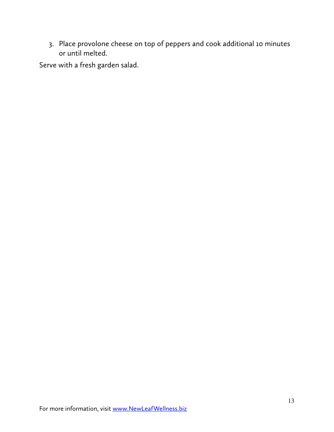3. Place provolone cheese on top of peppers and cook additional 10 minutes or until melted.

Serve with a fresh garden salad.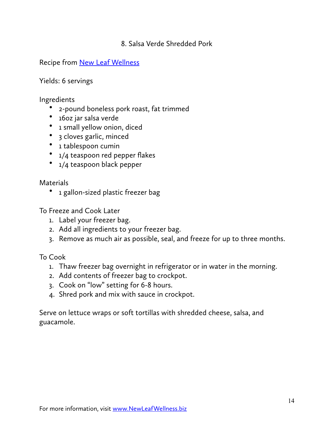## 8. Salsa Verde Shredded Pork

Recipe from [New Leaf Wellness](http://newleafwellness.biz/2017/02/15/easy-and-healthy-crockpot-salsa-verde-shredded-pork-tacos/)

Yields: 6 servings

### Ingredients

- 2-pound boneless pork roast, fat trimmed
- 16oz jar salsa verde
- 1 small yellow onion, diced
- 3 cloves garlic, minced
- 1 tablespoon cumin
- 1/4 teaspoon red pepper flakes
- 1/4 teaspoon black pepper

**Materials** 

• 1 gallon-sized plastic freezer bag

To Freeze and Cook Later

- 1. Label your freezer bag.
- 2. Add all ingredients to your freezer bag.
- 3. Remove as much air as possible, seal, and freeze for up to three months.

To Cook

- 1. Thaw freezer bag overnight in refrigerator or in water in the morning.
- 2. Add contents of freezer bag to crockpot.
- 3. Cook on "low" setting for 6-8 hours.
- 4. Shred pork and mix with sauce in crockpot.

Serve on lettuce wraps or soft tortillas with shredded cheese, salsa, and guacamole.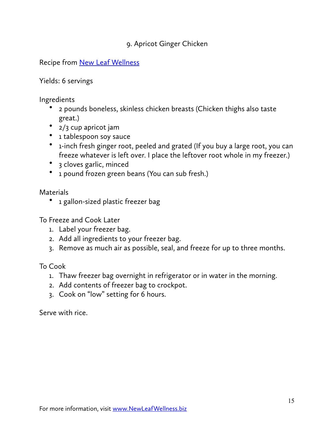# 9. Apricot Ginger Chicken

Recipe from [New Leaf Wellness](http://newleafwellness.biz/2015/01/07/make-ahead-crockpot-apricot-ginger-chicken-with-soy-sauce/)

Yields: 6 servings

Ingredients

- 2 pounds boneless, skinless chicken breasts (Chicken thighs also taste great.)
- 2/3 cup apricot jam
- 1 tablespoon soy sauce
- 1-inch fresh ginger root, peeled and grated (If you buy a large root, you can freeze whatever is left over. I place the leftover root whole in my freezer.)
- 3 cloves garlic, minced
- 1 pound frozen green beans (You can sub fresh.)

**Materials** 

• 1 gallon-sized plastic freezer bag

To Freeze and Cook Later

- 1. Label your freezer bag.
- 2. Add all ingredients to your freezer bag.
- 3. Remove as much air as possible, seal, and freeze for up to three months.

To Cook

- 1. Thaw freezer bag overnight in refrigerator or in water in the morning.
- 2. Add contents of freezer bag to crockpot.
- 3. Cook on "low" setting for 6 hours.

Serve with rice.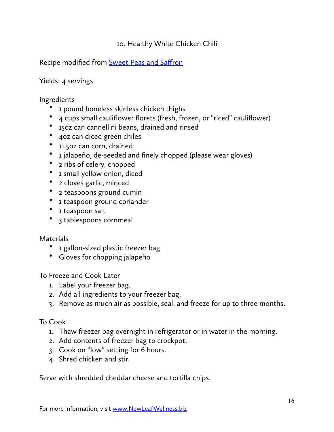# 10. Healthy White Chicken Chili

Recipe modified from **[Sweet](http://sweetpeasandsaffron.com/2017/02/healthy-slow-cooker-white-chicken-chili-assemble-ahead.html) Peas and Saffron** 

Yields: 4 servings

## Ingredients

- 1 pound boneless skinless chicken thighs
- 4 cups small cauliflower florets (fresh, frozen, or "riced" cauliflower)
- 15oz can cannellini beans, drained and rinsed
- 4oz can diced green chiles
- 11.5oz can corn, drained
- 1 jalapeño, de-seeded and finely chopped (please wear gloves)
- 2 ribs of celery, chopped
- 1 small yellow onion, diced
- 2 cloves garlic, minced
- 2 teaspoons ground cumin
- 1 teaspoon ground coriander
- 1 teaspoon salt
- 3 tablespoons cornmeal

### **Materials**

- 1 gallon-sized plastic freezer bag
- Gloves for chopping jalapeño

To Freeze and Cook Later

- 1. Label your freezer bag.
- 2. Add all ingredients to your freezer bag.
- 3. Remove as much air as possible, seal, and freeze for up to three months.

To Cook

- 1. Thaw freezer bag overnight in refrigerator or in water in the morning.
- 2. Add contents of freezer bag to crockpot.
- 3. Cook on "low" setting for 6 hours.
- 4. Shred chicken and stir.

Serve with shredded cheddar cheese and tortilla chips.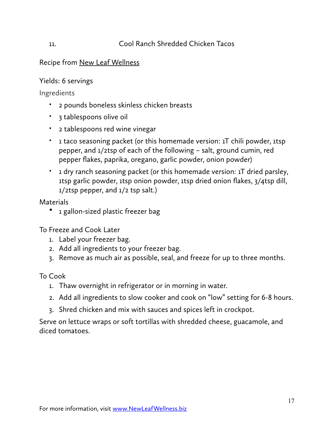# Recipe from [New Leaf Wellness](http://newleafwellness.biz/2016/03/30/cool-ranch-shredded-chicken-tacos-crockpot-recipe/)

## Yields: 6 servings

## Ingredients

- 2 pounds boneless skinless chicken breasts
- 3 tablespoons olive oil
- 2 tablespoons red wine vinegar
- 1 taco seasoning packet (or this homemade version: 1T chili powder, 1tsp pepper, and 1/2tsp of each of the following – salt, ground cumin, red pepper flakes, paprika, oregano, garlic powder, onion powder)
- 1 dry ranch seasoning packet (or this homemade version: 1T dried parsley, 1tsp garlic powder, 1tsp onion powder, 1tsp dried onion flakes, 3/4tsp dill, 1/2tsp pepper, and 1/2 tsp salt.)

**Materials** 

• 1 gallon-sized plastic freezer bag

To Freeze and Cook Later

- 1. Label your freezer bag.
- 2. Add all ingredients to your freezer bag.
- 3. Remove as much air as possible, seal, and freeze for up to three months.

To Cook

- 1. Thaw overnight in refrigerator or in morning in water.
- 2. Add all ingredients to slow cooker and cook on "low" setting for 6-8 hours.
- 3. Shred chicken and mix with sauces and spices left in crockpot.

Serve on lettuce wraps or soft tortillas with shredded cheese, guacamole, and diced tomatoes.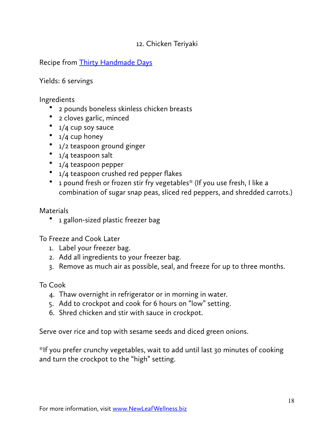# 12. Chicken Teriyaki

Recipe from [Thirty Handmade Days](http://www.thirtyhandmadedays.com/)

Yields: 6 servings

## Ingredients

- 2 pounds boneless skinless chicken breasts
- 2 cloves garlic, minced
- 1/4 cup soy sauce
- $1/4$  cup honey
- 1/2 teaspoon ground ginger
- 1/4 teaspoon salt
- 1/4 teaspoon pepper
- 1/4 teaspoon crushed red pepper flakes
- 1 pound fresh or frozen stir fry vegetables\* (If you use fresh, I like a combination of sugar snap peas, sliced red peppers, and shredded carrots.)

**Materials** 

• 1 gallon-sized plastic freezer bag

To Freeze and Cook Later

- 1. Label your freezer bag.
- 2. Add all ingredients to your freezer bag.
- 3. Remove as much air as possible, seal, and freeze for up to three months.

To Cook

- 4. Thaw overnight in refrigerator or in morning in water.
- 5. Add to crockpot and cook for 6 hours on "low" setting.
- 6. Shred chicken and stir with sauce in crockpot.

Serve over rice and top with sesame seeds and diced green onions.

\*If you prefer crunchy vegetables, wait to add until last 30 minutes of cooking and turn the crockpot to the "high" setting.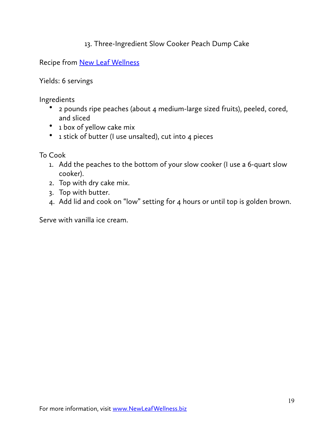# 13. Three-Ingredient Slow Cooker Peach Dump Cake

Recipe from [New](http://newleafwellness.biz/2015/09/03/three-ingredient-slow-cooker-peach-dump-cake/) Leaf Wellness

Yields: 6 servings

Ingredients

- 2 pounds ripe peaches (about 4 medium-large sized fruits), peeled, cored, and sliced
- 1 box of yellow cake mix
- 1 stick of butter (I use unsalted), cut into 4 pieces

To Cook

- 1. Add the peaches to the bottom of your slow cooker (I use a 6-quart slow cooker).
- 2. Top with dry cake mix.
- 3. Top with butter.
- 4. Add lid and cook on "low" setting for 4 hours or until top is golden brown.

Serve with vanilla ice cream.